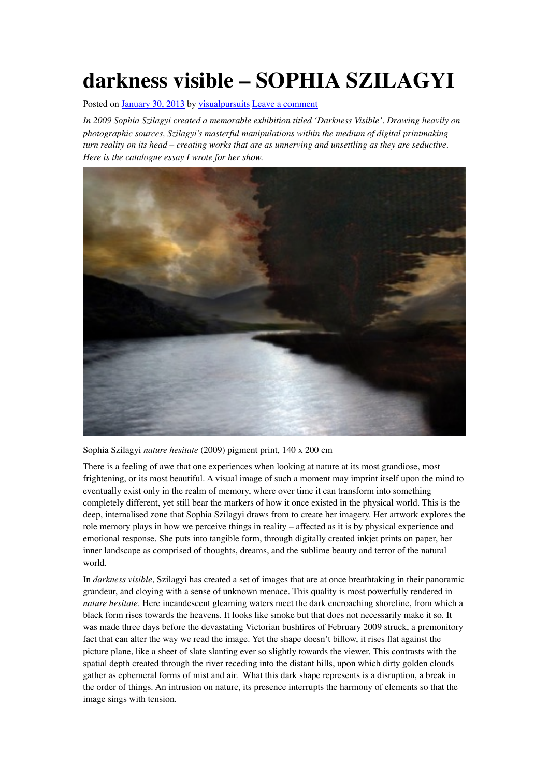## **darkness visible – SOPHIA SZILAGYI**

Posted on [January 30, 2013](https://visualpursuits.org/2013/01/30/sophia-szilagyi-darkness-visible/) by [visualpursuits](https://visualpursuits.org/author/visualpursuits/) [Leave a comment](https://visualpursuits.org/2013/01/30/sophia-szilagyi-darkness-visible/#respond)

*In 2009 Sophia Szilagyi created a memorable exhibition titled 'Darkness Visible'. Drawing heavily on photographic sources, Szilagyi's masterful manipulations within the medium of digital printmaking turn reality on its head – creating works that are as unnerving and unsettling as they are seductive. Here is the catalogue essay I wrote for her show.*



Sophia Szilagyi *nature hesitate* (2009) pigment print, 140 x 200 cm

There is a feeling of awe that one experiences when looking at nature at its most grandiose, most frightening, or its most beautiful. A visual image of such a moment may imprint itself upon the mind to eventually exist only in the realm of memory, where over time it can transform into something completely different, yet still bear the markers of how it once existed in the physical world. This is the deep, internalised zone that Sophia Szilagyi draws from to create her imagery. Her artwork explores the role memory plays in how we perceive things in reality – affected as it is by physical experience and emotional response. She puts into tangible form, through digitally created inkjet prints on paper, her inner landscape as comprised of thoughts, dreams, and the sublime beauty and terror of the natural world.

In *darkness visible*, Szilagyi has created a set of images that are at once breathtaking in their panoramic grandeur, and cloying with a sense of unknown menace. This quality is most powerfully rendered in *nature hesitate*. Here incandescent gleaming waters meet the dark encroaching shoreline, from which a black form rises towards the heavens. It looks like smoke but that does not necessarily make it so. It was made three days before the devastating Victorian bushfires of February 2009 struck, a premonitory fact that can alter the way we read the image. Yet the shape doesn't billow, it rises flat against the picture plane, like a sheet of slate slanting ever so slightly towards the viewer. This contrasts with the spatial depth created through the river receding into the distant hills, upon which dirty golden clouds gather as ephemeral forms of mist and air. What this dark shape represents is a disruption, a break in the order of things. An intrusion on nature, its presence interrupts the harmony of elements so that the image sings with tension.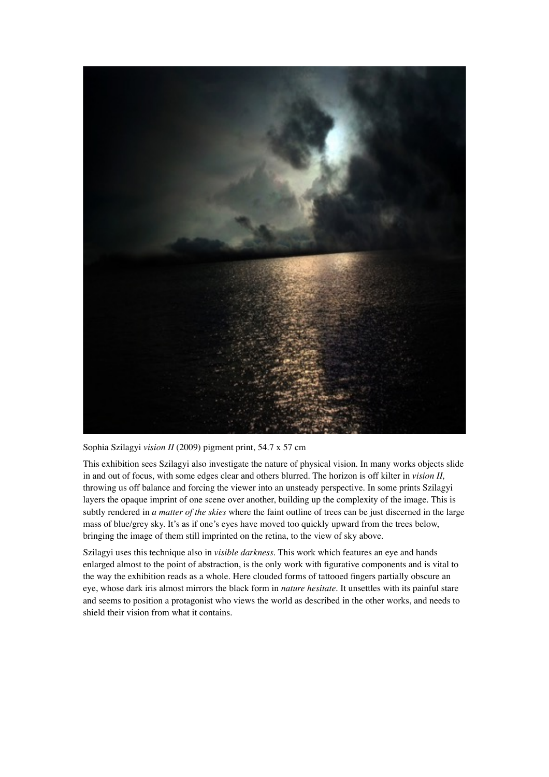

Sophia Szilagyi *vision II* (2009) pigment print, 54.7 x 57 cm

This exhibition sees Szilagyi also investigate the nature of physical vision. In many works objects slide in and out of focus, with some edges clear and others blurred. The horizon is off kilter in *vision II,* throwing us off balance and forcing the viewer into an unsteady perspective. In some prints Szilagyi layers the opaque imprint of one scene over another, building up the complexity of the image. This is subtly rendered in *a matter of the skies* where the faint outline of trees can be just discerned in the large mass of blue/grey sky. It's as if one's eyes have moved too quickly upward from the trees below, bringing the image of them still imprinted on the retina, to the view of sky above.

Szilagyi uses this technique also in *visible darkness*. This work which features an eye and hands enlarged almost to the point of abstraction, is the only work with figurative components and is vital to the way the exhibition reads as a whole. Here clouded forms of tattooed fingers partially obscure an eye, whose dark iris almost mirrors the black form in *nature hesitate*. It unsettles with its painful stare and seems to position a protagonist who views the world as described in the other works, and needs to shield their vision from what it contains.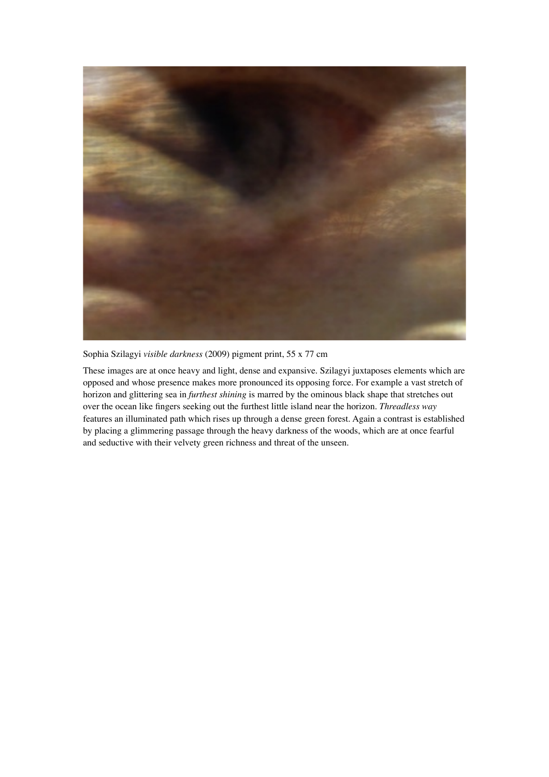

Sophia Szilagyi *visible darkness* (2009) pigment print, 55 x 77 cm

These images are at once heavy and light, dense and expansive. Szilagyi juxtaposes elements which are opposed and whose presence makes more pronounced its opposing force. For example a vast stretch of horizon and glittering sea in *furthest shining* is marred by the ominous black shape that stretches out over the ocean like fingers seeking out the furthest little island near the horizon. *Threadless way* features an illuminated path which rises up through a dense green forest. Again a contrast is established by placing a glimmering passage through the heavy darkness of the woods, which are at once fearful and seductive with their velvety green richness and threat of the unseen.